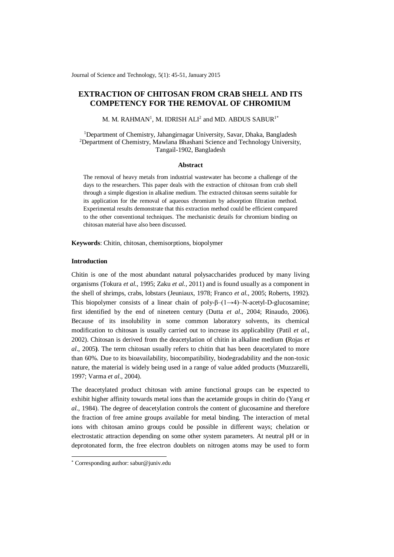Journal of Science and Technology, 5(1): 45-51, January 2015

# **EXTRACTION OF CHITOSAN FROM CRAB SHELL AND ITS COMPETENCY FOR THE REMOVAL OF CHROMIUM**

M. M. RAHMAN $^{\rm l}$ , M. IDRISH ALI $^{\rm 2}$  and MD. ABDUS SABUR $^{\rm l^{\ast}}$ 

<sup>1</sup>Department of Chemistry, Jahangirnagar University, Savar, Dhaka, Bangladesh <sup>2</sup>Department of Chemistry, Mawlana Bhashani Science and Technology University, Tangail-1902, Bangladesh

#### **Abstract**

The removal of heavy metals from industrial wastewater has become a challenge of the days to the researchers. This paper deals with the extraction of chitosan from crab shell through a simple digestion in alkaline medium. The extracted chitosan seems suitable for its application for the removal of aqueous chromium by adsorption filtration method. Experimental results demonstrate that this extraction method could be efficient compared to the other conventional techniques. The mechanistic details for chromium binding on chitosan material have also been discussed.

**Keywords**: Chitin, chitosan, chemisorptions, biopolymer

## **Introduction**

Chitin is one of the most abundant natural polysaccharides produced by many living organisms (Tokura *et al.*, 1995; Zaku *et al.,* 2011) and is found usually as a component in the shell of shrimps, crabs, lobstars (Jeuniaux, 1978; Franco *et al.*, 2005; Roberts, 1992). This biopolymer consists of a linear chain of poly- $\beta$ – $(1\rightarrow 4)$ –N-acetyl-D-glucosamine; first identified by the end of nineteen century (Dutta *et al*., 2004; Rinaudo, 2006). Because of its insolubility in some common laboratory solvents, its chemical modification to chitosan is usually carried out to increase its applicability (Patil *et al.*, 2002). Chitosan is derived from the deacetylation of chitin in alkaline medium **(**Rojas *et al*., 2005**)**. The term chitosan usually refers to chitin that has been deacetylated to more than 60%. Due to its bioavailability, biocompatibility, biodegradability and the non-toxic nature, the material is widely being used in a range of value added products (Muzzarelli, 1997; Varma *et al*., 2004).

The deacetylated product chitosan with amine functional groups can be expected to exhibit higher affinity towards metal ions than the acetamide groups in chitin do (Yang *et al.,* 1984). The degree of deacetylation controls the content of glucosamine and therefore the fraction of free amine groups available for metal binding. The interaction of metal ions with chitosan amino groups could be possible in different ways; chelation or electrostatic attraction depending on some other system parameters. At neutral pH or in deprotonated form, the free electron doublets on nitrogen atoms may be used to form

-

<sup>\*</sup> Corresponding author: sabur@juniv.edu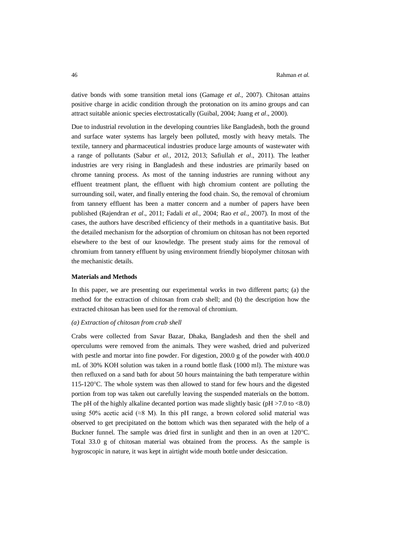dative bonds with some transition metal ions (Gamage *et al.,* 2007). Chitosan attains positive charge in acidic condition through the protonation on its amino groups and can attract suitable anionic species electrostatically (Guibal, 2004; Juang *et al*., 2000).

Due to industrial revolution in the developing countries like Bangladesh, both the ground and surface water systems has largely been polluted, mostly with heavy metals. The textile, tannery and pharmaceutical industries produce large amounts of wastewater with a range of pollutants (Sabur *et al.,* 2012, 2013; Safiullah *et al*., 2011). The leather industries are very rising in Bangladesh and these industries are primarily based on chrome tanning process. As most of the tanning industries are running without any effluent treatment plant, the effluent with high chromium content are polluting the surrounding soil, water, and finally entering the food chain. So, the removal of chromium from tannery effluent has been a matter concern and a number of papers have been published (Rajendran *et al*., 2011; Fadali *et al.,* 2004; [Rao](http://www.ncbi.nlm.nih.gov/pubmed?term=Rao%20S%5BAuthor%5D&cauthor=true&cauthor_uid=18476371) *et al.,* 2007). In most of the cases, the authors have described efficiency of their methods in a quantitative basis. But the detailed mechanism for the adsorption of chromium on chitosan has not been reported elsewhere to the best of our knowledge. The present study aims for the removal of chromium from tannery effluent by using environment friendly biopolymer chitosan with the mechanistic details.

### **Materials and Methods**

In this paper, we are presenting our experimental works in two different parts; (a) the method for the extraction of chitosan from crab shell; and (b) the description how the extracted chitosan has been used for the removal of chromium.

### *(a) Extraction of chitosan from crab shell*

Crabs were collected from Savar Bazar, Dhaka, Bangladesh and then the shell and operculums were removed from the animals. They were washed, dried and pulverized with pestle and mortar into fine powder. For digestion, 200.0 g of the powder with 400.0 mL of 30% KOH solution was taken in a round bottle flask (1000 ml). The mixture was then refluxed on a sand bath for about 50 hours maintaining the bath temperature within  $115-120$  °C. The whole system was then allowed to stand for few hours and the digested portion from top was taken out carefully leaving the suspended materials on the bottom. The pH of the highly alkaline decanted portion was made slightly basic ( $pH > 7.0$  to  $< 8.0$ ) using 50% acetic acid ( $\approx$ 8 M). In this pH range, a brown colored solid material was observed to get precipitated on the bottom which was then separated with the help of a Buckner funnel. The sample was dried first in sunlight and then in an oven at  $120^{\circ}$ C. Total 33.0 g of chitosan material was obtained from the process. As the sample is hygroscopic in nature, it was kept in airtight wide mouth bottle under desiccation.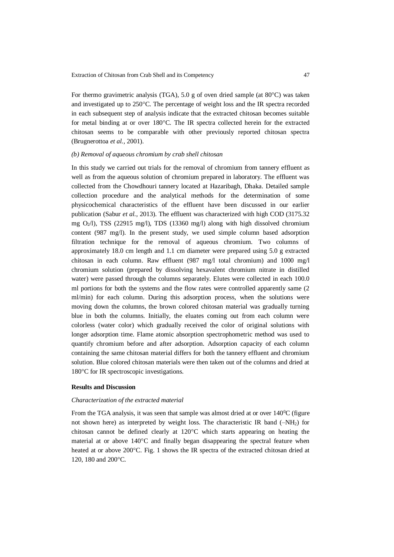For thermo gravimetric analysis (TGA), 5.0 g of oven dried sample (at  $80^{\circ}$ C) was taken and investigated up to 250C. The percentage of weight loss and the IR spectra recorded in each subsequent step of analysis indicate that the extracted chitosan becomes suitable for metal binding at or over  $180^{\circ}$ C. The IR spectra collected herein for the extracted chitosan seems to be comparable with other previously reported chitosan spectra (Brugnerottoa *et al.,* 2001).

#### *(b) Removal of aqueous chromium by crab shell chitosan*

In this study we carried out trials for the removal of chromium from tannery effluent as well as from the aqueous solution of chromium prepared in laboratory. The effluent was collected from the Chowdhouri tannery located at Hazaribagh, Dhaka. Detailed sample collection procedure and the analytical methods for the determination of some physicochemical characteristics of the effluent have been discussed in our earlier publication (Sabur *et al.,* 2013). The effluent was characterized with high COD (3175.32 mg O2/l), TSS (22915 mg/l), TDS (13360 mg/l) along with high dissolved chromium content (987 mg/l). In the present study, we used simple column based adsorption filtration technique for the removal of aqueous chromium. Two columns of approximately 18.0 cm length and 1.1 cm diameter were prepared using 5.0 g extracted chitosan in each column. Raw effluent (987 mg/l total chromium) and 1000 mg/l chromium solution (prepared by dissolving hexavalent chromium nitrate in distilled water) were passed through the columns separately. Elutes were collected in each 100.0 ml portions for both the systems and the flow rates were controlled apparently same (2 ml/min) for each column. During this adsorption process, when the solutions were moving down the columns, the brown colored chitosan material was gradually turning blue in both the columns. Initially, the eluates coming out from each column were colorless (water color) which gradually received the color of original solutions with longer adsorption time. Flame atomic absorption spectrophometric method was used to quantify chromium before and after adsorption. Adsorption capacity of each column containing the same chitosan material differs for both the tannery effluent and chromium solution. Blue colored chitosan materials were then taken out of the columns and dried at  $180^{\circ}$ C for IR spectroscopic investigations.

### **Results and Discussion**

#### *Characterization of the extracted material*

From the TGA analysis, it was seen that sample was almost dried at or over  $140\degree$ C (figure not shown here) as interpreted by weight loss. The characteristic IR band  $(-NH<sub>2</sub>)$  for chitosan cannot be defined clearly at  $120^{\circ}$ C which starts appearing on heating the material at or above  $140^{\circ}$ C and finally began disappearing the spectral feature when heated at or above  $200^{\circ}$ C. Fig. 1 shows the IR spectra of the extracted chitosan dried at 120, 180 and 200°C.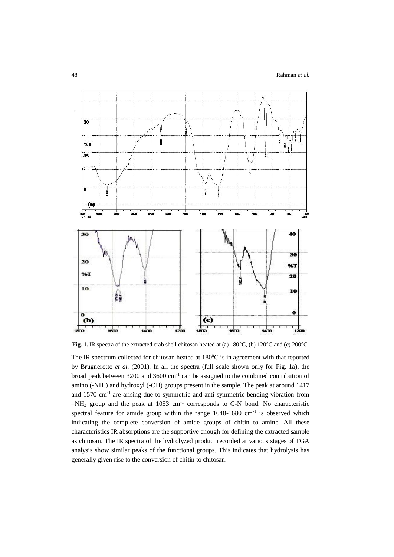

Fig. 1. IR spectra of the extracted crab shell chitosan heated at (a) 180°C, (b) 120°C and (c) 200°C.

The IR spectrum collected for chitosan heated at  $180^{\circ}$ C is in agreement with that reported by Brugnerotto *et al.* (2001). In all the spectra (full scale shown only for Fig. 1a), the broad peak between  $3200$  and  $3600$  cm<sup>-1</sup> can be assigned to the combined contribution of amino (-NH2) and hydroxyl (-OH) groups present in the sample. The peak at around 1417 and 1570 cm-1 are arising due to symmetric and anti symmetric bending vibration from  $-NH_2$  group and the peak at 1053 cm<sup>-1</sup> corresponds to C-N bond. No characteristic spectral feature for amide group within the range  $1640-1680$  cm<sup>-1</sup> is observed which indicating the complete conversion of amide groups of chitin to amine. All these characteristics IR absorptions are the supportive enough for defining the extracted sample as chitosan. The IR spectra of the hydrolyzed product recorded at various stages of TGA analysis show similar peaks of the functional groups. This indicates that hydrolysis has generally given rise to the conversion of chitin to chitosan.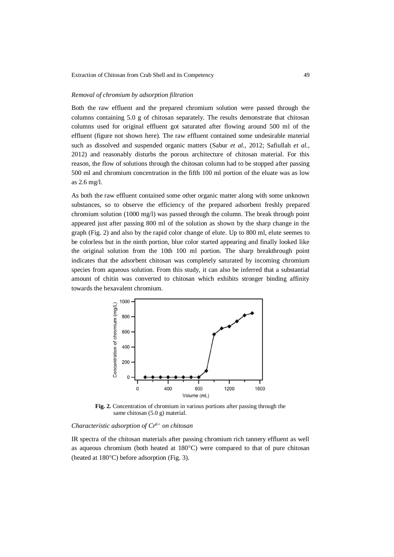### *Removal of chromium by adsorption filtration*

Both the raw effluent and the prepared chromium solution were passed through the columns containing 5.0 g of chitosan separately. The results demonstrate that chitosan columns used for original effluent got saturated after flowing around 500 ml of the effluent (figure not shown here). The raw effluent contained some undesirable material such as dissolved and suspended organic matters (Sabur *et al.,* 2012; Safiullah *et al.,* 2012) and reasonably disturbs the porous architecture of chitosan material. For this reason, the flow of solutions through the chitosan column had to be stopped after passing 500 ml and chromium concentration in the fifth 100 ml portion of the eluate was as low as 2.6 mg/l.

As both the raw effluent contained some other organic matter along with some unknown substances, so to observe the efficiency of the prepared adsorbent freshly prepared chromium solution (1000 mg/l) was passed through the column. The break through point appeared just after passing 800 ml of the solution as shown by the sharp change in the graph (Fig. 2) and also by the rapid color change of elute. Up to 800 ml, elute seemes to be colorless but in the ninth portion, blue color started appearing and finally looked like the original solution from the 10th 100 ml portion. The sharp breakthrough point indicates that the adsorbent chitosan was completely saturated by incoming chromium species from aqueous solution. From this study, it can also be inferred that a substantial amount of chitin was converted to chitosan which exhibits stronger binding affinity towards the hexavalent chromium.



**Fig. 2.** Concentration of chromium in various portions after passing through the same chitosan (5.0 g) material.

## *Characteristic adsorption of Cr6+ on chitosan*

IR spectra of the chitosan materials after passing chromium rich tannery effluent as well as aqueous chromium (both heated at  $180^{\circ}$ C) were compared to that of pure chitosan (heated at  $180^{\circ}$ C) before adsorption (Fig. 3).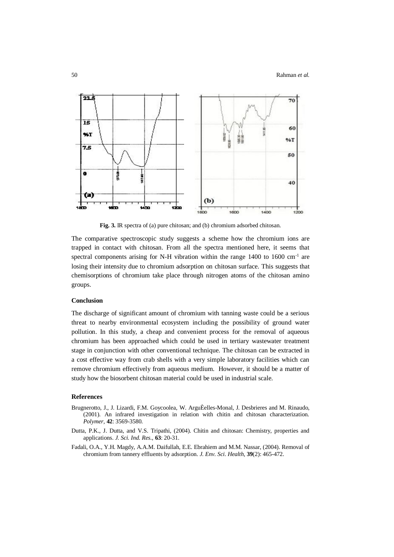

**Fig. 3.** IR spectra of (a) pure chitosan; and (b) chromium adsorbed chitosan.

The comparative spectroscopic study suggests a scheme how the chromium ions are trapped in contact with chitosan. From all the spectra mentioned here, it seems that spectral components arising for N-H vibration within the range 1400 to 1600 cm<sup>-1</sup> are losing their intensity due to chromium adsorption on chitosan surface. This suggests that chemisorptions of chromium take place through nitrogen atoms of the chitosan amino groups.

### **Conclusion**

The discharge of significant amount of chromium with tanning waste could be a serious threat to nearby environmental ecosystem including the possibility of ground water pollution. In this study, a cheap and convenient process for the removal of aqueous chromium has been approached which could be used in tertiary wastewater treatment stage in conjunction with other conventional technique. The chitosan can be extracted in a cost effective way from crab shells with a very simple laboratory facilities which can remove chromium effectively from aqueous medium. However, it should be a matter of study how the biosorbent chitosan material could be used in industrial scale.

### **References**

- Brugnerotto, J., J. Lizardi, F.M. Goycoolea, W. ArguÈelles-Monal, J. Desbrieres and M. Rinaudo, (2001). An infrared investigation in relation with chitin and chitosan characterization. *Polymer,* **42**: 3569-3580.
- Dutta, P.K., J. Dutta, and V.S. Tripathi, (2004). Chitin and chitosan: Chemistry, properties and applications. *J. Sci. Ind. Res.,* **63**: 20-31.
- Fadali, O.A., Y.H. Magdy, A.A.M. Daifullah, E.E. Ebrahiem and M.M. Nassar, (2004). Removal of chromium from tannery effluents by adsorption. *J. Env. Sci. Health,* **39**(2): 465-472.